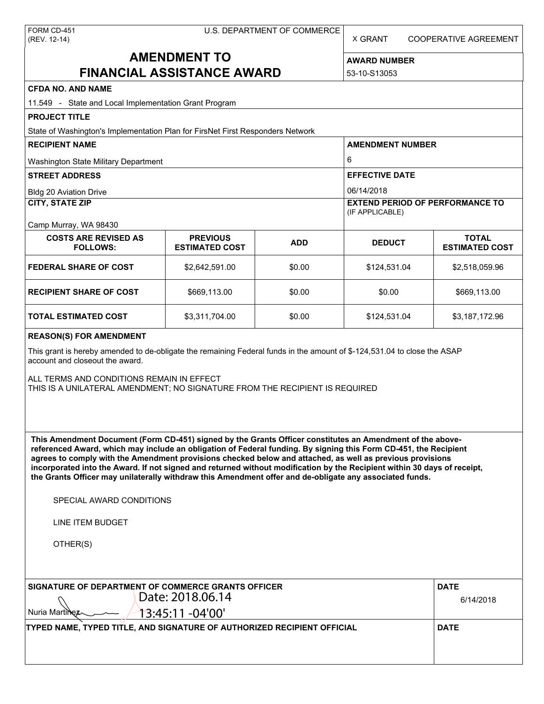| FORM CD-451  |  |
|--------------|--|
| (REV. 12-14) |  |

X GRANT COOPERATIVE AGREEMENT

# **AMENDMENT TO FINANCIAL ASSISTANCE AWARD**

**AWARD NUMBER** 53-10-S13053

| <b>CFDA NO. AND NAME</b> |  |
|--------------------------|--|
|--------------------------|--|

| CFDA NO. AND NAME<br>11.549 - State and Local Implementation Grant Program                                                                                                                                                                                                                                                                                                                                                                                                                                                                                                                                                                           |                                          |            |                                                           |                                       |  |
|------------------------------------------------------------------------------------------------------------------------------------------------------------------------------------------------------------------------------------------------------------------------------------------------------------------------------------------------------------------------------------------------------------------------------------------------------------------------------------------------------------------------------------------------------------------------------------------------------------------------------------------------------|------------------------------------------|------------|-----------------------------------------------------------|---------------------------------------|--|
| <b>PROJECT TITLE</b>                                                                                                                                                                                                                                                                                                                                                                                                                                                                                                                                                                                                                                 |                                          |            |                                                           |                                       |  |
| State of Washington's Implementation Plan for FirsNet First Responders Network                                                                                                                                                                                                                                                                                                                                                                                                                                                                                                                                                                       |                                          |            |                                                           |                                       |  |
| <b>RECIPIENT NAME</b>                                                                                                                                                                                                                                                                                                                                                                                                                                                                                                                                                                                                                                |                                          |            | <b>AMENDMENT NUMBER</b>                                   |                                       |  |
| Washington State Military Department                                                                                                                                                                                                                                                                                                                                                                                                                                                                                                                                                                                                                 |                                          |            | 6                                                         |                                       |  |
| <b>STREET ADDRESS</b>                                                                                                                                                                                                                                                                                                                                                                                                                                                                                                                                                                                                                                |                                          |            | <b>EFFECTIVE DATE</b>                                     |                                       |  |
| <b>Bldg 20 Aviation Drive</b>                                                                                                                                                                                                                                                                                                                                                                                                                                                                                                                                                                                                                        |                                          |            | 06/14/2018                                                |                                       |  |
| <b>CITY, STATE ZIP</b>                                                                                                                                                                                                                                                                                                                                                                                                                                                                                                                                                                                                                               |                                          |            | <b>EXTEND PERIOD OF PERFORMANCE TO</b><br>(IF APPLICABLE) |                                       |  |
| Camp Murray, WA 98430                                                                                                                                                                                                                                                                                                                                                                                                                                                                                                                                                                                                                                |                                          |            |                                                           |                                       |  |
| <b>COSTS ARE REVISED AS</b><br><b>FOLLOWS:</b>                                                                                                                                                                                                                                                                                                                                                                                                                                                                                                                                                                                                       | <b>PREVIOUS</b><br><b>ESTIMATED COST</b> | <b>ADD</b> | <b>DEDUCT</b>                                             | <b>TOTAL</b><br><b>ESTIMATED COST</b> |  |
| <b>FEDERAL SHARE OF COST</b>                                                                                                                                                                                                                                                                                                                                                                                                                                                                                                                                                                                                                         | \$2,642,591.00                           | \$0.00     | \$124,531.04                                              | \$2,518,059.96                        |  |
| <b>RECIPIENT SHARE OF COST</b>                                                                                                                                                                                                                                                                                                                                                                                                                                                                                                                                                                                                                       | \$669,113.00                             | \$0.00     | \$0.00                                                    | \$669,113.00                          |  |
| TOTAL ESTIMATED COST                                                                                                                                                                                                                                                                                                                                                                                                                                                                                                                                                                                                                                 | \$3,311,704.00                           | \$0.00     | \$124,531.04                                              | \$3,187,172.96                        |  |
| This grant is hereby amended to de-obligate the remaining Federal funds in the amount of \$-124,531.04 to close the ASAP<br>account and closeout the award.<br>ALL TERMS AND CONDITIONS REMAIN IN EFFECT<br>THIS IS A UNILATERAL AMENDMENT; NO SIGNATURE FROM THE RECIPIENT IS REQUIRED                                                                                                                                                                                                                                                                                                                                                              |                                          |            |                                                           |                                       |  |
| This Amendment Document (Form CD-451) signed by the Grants Officer constitutes an Amendment of the above-<br>referenced Award, which may include an obligation of Federal funding. By signing this Form CD-451, the Recipient<br>agrees to comply with the Amendment provisions checked below and attached, as well as previous provisions<br>incorporated into the Award. If not signed and returned without modification by the Recipient within 30 days of receipt,<br>the Grants Officer may unilaterally withdraw this Amendment offer and de-obligate any associated funds.<br>SPECIAL AWARD CONDITIONS<br><b>LINE ITEM BUDGET</b><br>OTHER(S) |                                          |            |                                                           |                                       |  |
| SIGNATURE OF DEPARTMENT OF COMMERCE GRANTS OFFICER<br>Nuria Martine:                                                                                                                                                                                                                                                                                                                                                                                                                                                                                                                                                                                 | Date: 2018.06.14<br>13:45:11 -04'00'     |            |                                                           | <b>DATE</b><br>6/14/2018              |  |
| TYPED NAME, TYPED TITLE, AND SIGNATURE OF AUTHORIZED RECIPIENT OFFICIAL                                                                                                                                                                                                                                                                                                                                                                                                                                                                                                                                                                              |                                          |            |                                                           | <b>DATE</b>                           |  |
|                                                                                                                                                                                                                                                                                                                                                                                                                                                                                                                                                                                                                                                      |                                          |            |                                                           |                                       |  |